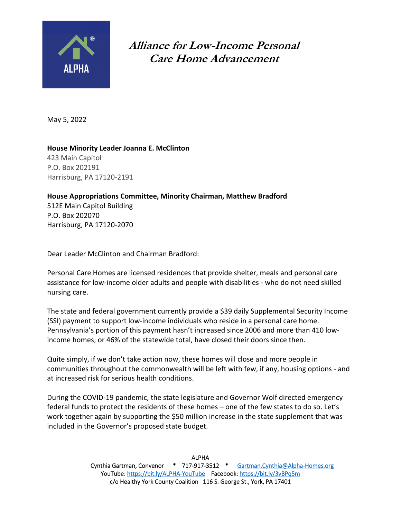

**Alliance for Low-Income Personal Care Home Advancement** 

May 5, 2022

**House Minority Leader Joanna E. McClinton**  423 Main Capitol P.O. Box 202191 Harrisburg, PA 17120‐2191

**House Appropriations Committee, Minority Chairman, Matthew Bradford** 512E Main Capitol Building P.O. Box 202070 Harrisburg, PA 17120‐2070

Dear Leader McClinton and Chairman Bradford:

Personal Care Homes are licensed residences that provide shelter, meals and personal care assistance for low‐income older adults and people with disabilities ‐ who do not need skilled nursing care.

The state and federal government currently provide a \$39 daily Supplemental Security Income (SSI) payment to support low‐income individuals who reside in a personal care home. Pennsylvania's portion of this payment hasn't increased since 2006 and more than 410 low‐ income homes, or 46% of the statewide total, have closed their doors since then.

Quite simply, if we don't take action now, these homes will close and more people in communities throughout the commonwealth will be left with few, if any, housing options ‐ and at increased risk for serious health conditions.

During the COVID‐19 pandemic, the state legislature and Governor Wolf directed emergency federal funds to protect the residents of these homes – one of the few states to do so. Let's work together again by supporting the \$50 million increase in the state supplement that was included in the Governor's proposed state budget.

> ALPHA Cynthia Gartman, Convenor \* 717‐917‐3512 \* Gartman.Cynthia@Alpha‐Homes.org YouTube: https://bit.ly/ALPHA-YouTube Facebook: https://bit.ly/3vBPq5m c/o Healthy York County Coalition 116 S. George St., York, PA 17401